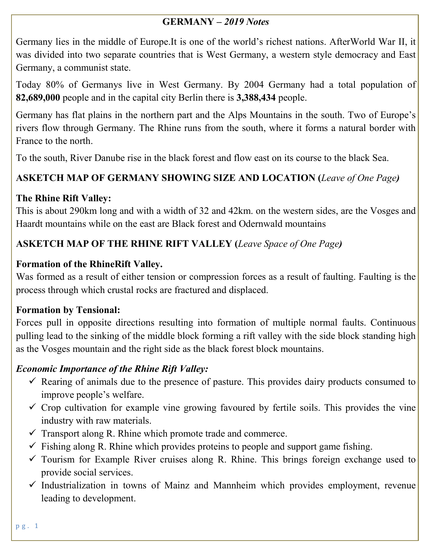### **GERMANY –** *2019 Notes*

Germany lies in the middle of Europe.It is one of the world's richest nations. AfterWorld War II, it was divided into two separate countries that is West Germany, a western style democracy and East Germany, a communist state.

Today 80% of Germanys live in West Germany. By 2004 Germany had a total population of **82,689,000** people and in the capital city Berlin there is **3,388,434** people.

Germany has flat plains in the northern part and the Alps Mountains in the south. Two of Europe's rivers flow through Germany. The Rhine runs from the south, where it forms a natural border with France to the north.

To the south, River Danube rise in the black forest and flow east on its course to the black Sea.

### **ASKETCH MAP OF GERMANY SHOWING SIZE AND LOCATION (***Leave of One Page)*

### **The Rhine Rift Valley:**

This is about 290km long and with a width of 32 and 42km. on the western sides, are the Vosges and Haardt mountains while on the east are Black forest and Odernwald mountains

### **ASKETCH MAP OF THE RHINE RIFT VALLEY (***Leave Space of One Page)*

### **Formation of the RhineRift Valley.**

Was formed as a result of either tension or compression forces as a result of faulting. Faulting is the process through which crustal rocks are fractured and displaced.

#### **Formation by Tensional:**

Forces pull in opposite directions resulting into formation of multiple normal faults. Continuous pulling lead to the sinking of the middle block forming a rift valley with the side block standing high as the Vosges mountain and the right side as the black forest block mountains.

### *Economic Importance of the Rhine Rift Valley:*

- $\checkmark$  Rearing of animals due to the presence of pasture. This provides dairy products consumed to improve people's welfare.
- $\checkmark$  Crop cultivation for example vine growing favoured by fertile soils. This provides the vine industry with raw materials.
- $\checkmark$  Transport along R. Rhine which promote trade and commerce.
- $\checkmark$  Fishing along R. Rhine which provides proteins to people and support game fishing.
- $\checkmark$  Tourism for Example River cruises along R. Rhine. This brings foreign exchange used to provide social services.
- $\checkmark$  Industrialization in towns of Mainz and Mannheim which provides employment, revenue leading to development.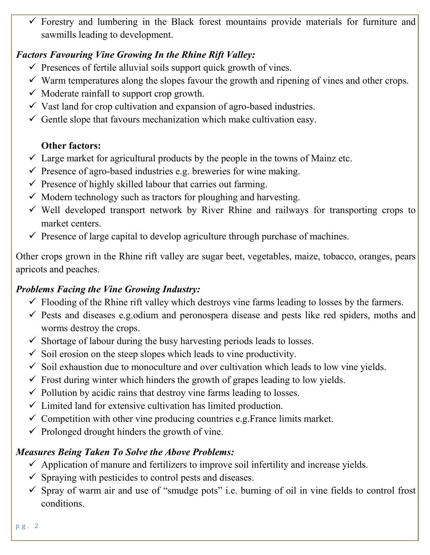$\checkmark$  Forestry and lumbering in the Black forest mountains provide materials for furniture and sawmills leading to development.

### *Factors Favouring Vine Growing In the Rhine Rift Valley:*

- $\checkmark$  Presences of fertile alluvial soils support quick growth of vines.
- $\checkmark$  Warm temperatures along the slopes favour the growth and ripening of vines and other crops.
- $\checkmark$  Moderate rainfall to support crop growth.
- $\checkmark$  Vast land for crop cultivation and expansion of agro-based industries.
- $\checkmark$  Gentle slope that favours mechanization which make cultivation easy.

### **Other factors:**

- $\checkmark$  Large market for agricultural products by the people in the towns of Mainz etc.
- $\checkmark$  Presence of agro-based industries e.g. breweries for wine making.
- $\checkmark$  Presence of highly skilled labour that carries out farming.
- $\checkmark$  Modern technology such as tractors for ploughing and harvesting.
- $\checkmark$  Well developed transport network by River Rhine and railways for transporting crops to market centers.
- $\checkmark$  Presence of large capital to develop agriculture through purchase of machines.

Other crops grown in the Rhine rift valley are sugar beet, vegetables, maize, tobacco, oranges, pears apricots and peaches.

### *Problems Facing the Vine Growing Industry:*

- $\checkmark$  Flooding of the Rhine rift valley which destroys vine farms leading to losses by the farmers.
- $\checkmark$  Pests and diseases e.g. odium and peronospera disease and pests like red spiders, moths and worms destroy the crops.
- $\checkmark$  Shortage of labour during the busy harvesting periods leads to losses.
- $\checkmark$  Soil erosion on the steep slopes which leads to vine productivity.
- $\checkmark$  Soil exhaustion due to monoculture and over cultivation which leads to low vine yields.
- $\checkmark$  Frost during winter which hinders the growth of grapes leading to low yields.
- $\checkmark$  Pollution by acidic rains that destroy vine farms leading to losses.
- $\checkmark$  Limited land for extensive cultivation has limited production.
- $\checkmark$  Competition with other vine producing countries e.g. France limits market.
- $\checkmark$  Prolonged drought hinders the growth of vine.

### *Measures Being Taken To Solve the Above Problems:*

- $\checkmark$  Application of manure and fertilizers to improve soil infertility and increase yields.
- $\checkmark$  Spraying with pesticides to control pests and diseases.
- $\checkmark$  Spray of warm air and use of "smudge pots" i.e. burning of oil in vine fields to control frost conditions.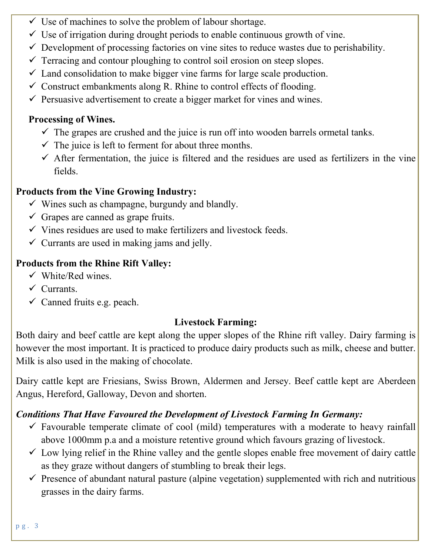- $\checkmark$  Use of machines to solve the problem of labour shortage.
- $\checkmark$  Use of irrigation during drought periods to enable continuous growth of vine.
- $\checkmark$  Development of processing factories on vine sites to reduce wastes due to perishability.
- $\checkmark$  Terracing and contour ploughing to control soil erosion on steep slopes.
- $\checkmark$  Land consolidation to make bigger vine farms for large scale production.
- $\checkmark$  Construct embankments along R. Rhine to control effects of flooding.
- $\checkmark$  Persuasive advertisement to create a bigger market for vines and wines.

# **Processing of Wines.**

- $\checkmark$  The grapes are crushed and the juice is run off into wooden barrels ormetal tanks.
- $\checkmark$  The juice is left to ferment for about three months.
- $\checkmark$  After fermentation, the juice is filtered and the residues are used as fertilizers in the vine fields.

# **Products from the Vine Growing Industry:**

- $\checkmark$  Wines such as champagne, burgundy and blandly.
- $\checkmark$  Grapes are canned as grape fruits.
- $\checkmark$  Vines residues are used to make fertilizers and livestock feeds.
- $\checkmark$  Currants are used in making jams and jelly.

# **Products from the Rhine Rift Valley:**

- $\checkmark$  White/Red wines.
- $\checkmark$  Currants.
- $\checkmark$  Canned fruits e.g. peach.

# **Livestock Farming:**

Both dairy and beef cattle are kept along the upper slopes of the Rhine rift valley. Dairy farming is however the most important. It is practiced to produce dairy products such as milk, cheese and butter. Milk is also used in the making of chocolate.

Dairy cattle kept are Friesians, Swiss Brown, Aldermen and Jersey. Beef cattle kept are Aberdeen Angus, Hereford, Galloway, Devon and shorten.

# *Conditions That Have Favoured the Development of Livestock Farming In Germany:*

- $\checkmark$  Favourable temperate climate of cool (mild) temperatures with a moderate to heavy rainfall above 1000mm p.a and a moisture retentive ground which favours grazing of livestock.
- $\checkmark$  Low lying relief in the Rhine valley and the gentle slopes enable free movement of dairy cattle as they graze without dangers of stumbling to break their legs.
- $\checkmark$  Presence of abundant natural pasture (alpine vegetation) supplemented with rich and nutritious grasses in the dairy farms.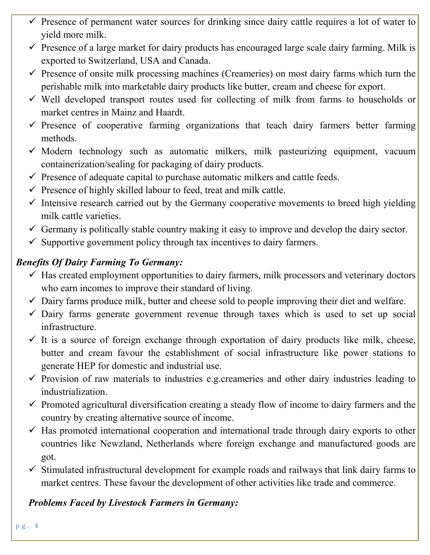- $\checkmark$  Presence of permanent water sources for drinking since dairy cattle requires a lot of water to yield more milk.
- $\checkmark$  Presence of a large market for dairy products has encouraged large scale dairy farming. Milk is exported to Switzerland, USA and Canada.
- $\checkmark$  Presence of onsite milk processing machines (Creameries) on most dairy farms which turn the perishable milk into marketable dairy products like butter, cream and cheese for export.
- $\checkmark$  Well developed transport routes used for collecting of milk from farms to households or market centres in Mainz and Haardt.
- $\checkmark$  Presence of cooperative farming organizations that teach dairy farmers better farming methods.
- $\checkmark$  Modern technology such as automatic milkers, milk pasteurizing equipment, vacuum containerization/sealing for packaging of dairy products.
- $\checkmark$  Presence of adequate capital to purchase automatic milkers and cattle feeds.
- $\checkmark$  Presence of highly skilled labour to feed, treat and milk cattle.
- $\checkmark$  Intensive research carried out by the Germany cooperative movements to breed high yielding milk cattle varieties.
- $\checkmark$  Germany is politically stable country making it easy to improve and develop the dairy sector.
- $\checkmark$  Supportive government policy through tax incentives to dairy farmers.

### *Benefits Of Dairy Farming To Germany:*

- $\checkmark$  Has created employment opportunities to dairy farmers, milk processors and veterinary doctors who earn incomes to improve their standard of living.
- $\checkmark$  Dairy farms produce milk, butter and cheese sold to people improving their diet and welfare.
- $\checkmark$  Dairy farms generate government revenue through taxes which is used to set up social infrastructure.
- $\checkmark$  It is a source of foreign exchange through exportation of dairy products like milk, cheese, butter and cream favour the establishment of social infrastructure like power stations to generate HEP for domestic and industrial use.
- $\checkmark$  Provision of raw materials to industries e.g.creameries and other dairy industries leading to industrialization.
- $\checkmark$  Promoted agricultural diversification creating a steady flow of income to dairy farmers and the country by creating alternative source of income.
- $\checkmark$  Has promoted international cooperation and international trade through dairy exports to other countries like Newzland, Netherlands where foreign exchange and manufactured goods are got.
- $\checkmark$  Stimulated infrastructural development for example roads and railways that link dairy farms to market centres. These favour the development of other activities like trade and commerce.

### *Problems Faced by Livestock Farmers in Germany:*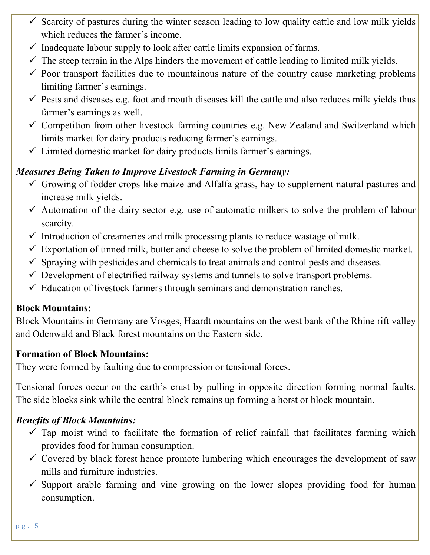- $\checkmark$  Scarcity of pastures during the winter season leading to low quality cattle and low milk yields which reduces the farmer's income.
- $\checkmark$  Inadequate labour supply to look after cattle limits expansion of farms.
- $\checkmark$  The steep terrain in the Alps hinders the movement of cattle leading to limited milk yields.
- $\checkmark$  Poor transport facilities due to mountainous nature of the country cause marketing problems limiting farmer's earnings.
- $\checkmark$  Pests and diseases e.g. foot and mouth diseases kill the cattle and also reduces milk yields thus farmer's earnings as well.
- $\checkmark$  Competition from other livestock farming countries e.g. New Zealand and Switzerland which limits market for dairy products reducing farmer's earnings.
- $\checkmark$  Limited domestic market for dairy products limits farmer's earnings.

### *Measures Being Taken to Improve Livestock Farming in Germany:*

- $\checkmark$  Growing of fodder crops like maize and Alfalfa grass, hay to supplement natural pastures and increase milk yields.
- $\checkmark$  Automation of the dairy sector e.g. use of automatic milkers to solve the problem of labour scarcity.
- $\checkmark$  Introduction of creameries and milk processing plants to reduce wastage of milk.
- $\checkmark$  Exportation of tinned milk, butter and cheese to solve the problem of limited domestic market.
- $\checkmark$  Spraying with pesticides and chemicals to treat animals and control pests and diseases.
- $\checkmark$  Development of electrified railway systems and tunnels to solve transport problems.
- $\checkmark$  Education of livestock farmers through seminars and demonstration ranches.

#### **Block Mountains:**

Block Mountains in Germany are Vosges, Haardt mountains on the west bank of the Rhine rift valley and Odenwald and Black forest mountains on the Eastern side.

### **Formation of Block Mountains:**

They were formed by faulting due to compression or tensional forces.

Tensional forces occur on the earth's crust by pulling in opposite direction forming normal faults. The side blocks sink while the central block remains up forming a horst or block mountain.

### *Benefits of Block Mountains:*

- $\checkmark$  Tap moist wind to facilitate the formation of relief rainfall that facilitates farming which provides food for human consumption.
- $\checkmark$  Covered by black forest hence promote lumbering which encourages the development of saw mills and furniture industries.
- $\checkmark$  Support arable farming and vine growing on the lower slopes providing food for human consumption.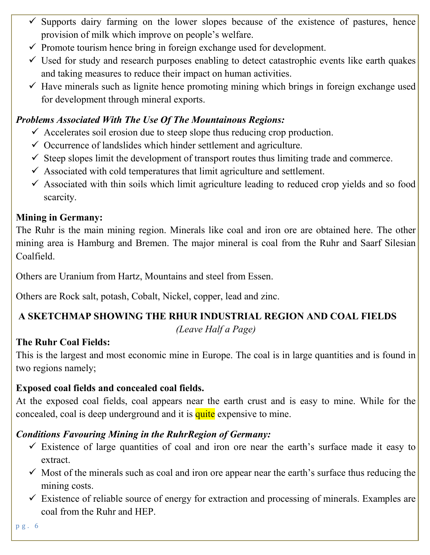- $\checkmark$  Supports dairy farming on the lower slopes because of the existence of pastures, hence provision of milk which improve on people's welfare.
- $\checkmark$  Promote tourism hence bring in foreign exchange used for development.
- $\checkmark$  Used for study and research purposes enabling to detect catastrophic events like earth quakes and taking measures to reduce their impact on human activities.
- $\checkmark$  Have minerals such as lignite hence promoting mining which brings in foreign exchange used for development through mineral exports.

### *Problems Associated With The Use Of The Mountainous Regions:*

- $\checkmark$  Accelerates soil erosion due to steep slope thus reducing crop production.
- $\checkmark$  Occurrence of landslides which hinder settlement and agriculture.
- $\checkmark$  Steep slopes limit the development of transport routes thus limiting trade and commerce.
- $\checkmark$  Associated with cold temperatures that limit agriculture and settlement.
- $\checkmark$  Associated with thin soils which limit agriculture leading to reduced crop yields and so food scarcity.

### **Mining in Germany:**

The Ruhr is the main mining region. Minerals like coal and iron ore are obtained here. The other mining area is Hamburg and Bremen. The major mineral is coal from the Ruhr and Saarf Silesian Coalfield.

Others are Uranium from Hartz, Mountains and steel from Essen.

Others are Rock salt, potash, Cobalt, Nickel, copper, lead and zinc.

# **A SKETCHMAP SHOWING THE RHUR INDUSTRIAL REGION AND COAL FIELDS**

*(Leave Half a Page)*

## **The Ruhr Coal Fields:**

This is the largest and most economic mine in Europe. The coal is in large quantities and is found in two regions namely;

### **Exposed coal fields and concealed coal fields.**

At the exposed coal fields, coal appears near the earth crust and is easy to mine. While for the concealed, coal is deep underground and it is quite expensive to mine.

### *Conditions Favouring Mining in the RuhrRegion of Germany:*

- $\checkmark$  Existence of large quantities of coal and iron ore near the earth's surface made it easy to extract.
- $\checkmark$  Most of the minerals such as coal and iron ore appear near the earth's surface thus reducing the mining costs.
- $\checkmark$  Existence of reliable source of energy for extraction and processing of minerals. Examples are coal from the Ruhr and HEP.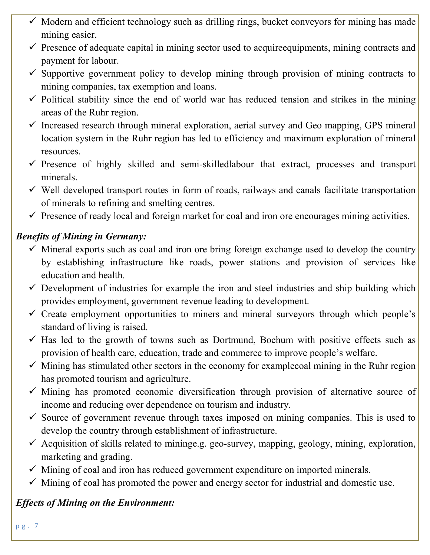- $\checkmark$  Modern and efficient technology such as drilling rings, bucket conveyors for mining has made mining easier.
- $\checkmark$  Presence of adequate capital in mining sector used to acquireequipments, mining contracts and payment for labour.
- $\checkmark$  Supportive government policy to develop mining through provision of mining contracts to mining companies, tax exemption and loans.
- $\checkmark$  Political stability since the end of world war has reduced tension and strikes in the mining areas of the Ruhr region.
- $\checkmark$  Increased research through mineral exploration, aerial survey and Geo mapping, GPS mineral location system in the Ruhr region has led to efficiency and maximum exploration of mineral resources.
- $\checkmark$  Presence of highly skilled and semi-skilledlabour that extract, processes and transport minerals.
- $\checkmark$  Well developed transport routes in form of roads, railways and canals facilitate transportation of minerals to refining and smelting centres.
- $\checkmark$  Presence of ready local and foreign market for coal and iron ore encourages mining activities.

### *Benefits of Mining in Germany:*

- $\checkmark$  Mineral exports such as coal and iron ore bring foreign exchange used to develop the country by establishing infrastructure like roads, power stations and provision of services like education and health.
- $\checkmark$  Development of industries for example the iron and steel industries and ship building which provides employment, government revenue leading to development.
- $\checkmark$  Create employment opportunities to miners and mineral surveyors through which people's standard of living is raised.
- $\checkmark$  Has led to the growth of towns such as Dortmund, Bochum with positive effects such as provision of health care, education, trade and commerce to improve people's welfare.
- $\checkmark$  Mining has stimulated other sectors in the economy for examplecoal mining in the Ruhr region has promoted tourism and agriculture.
- $\checkmark$  Mining has promoted economic diversification through provision of alternative source of income and reducing over dependence on tourism and industry.
- $\checkmark$  Source of government revenue through taxes imposed on mining companies. This is used to develop the country through establishment of infrastructure.
- $\checkmark$  Acquisition of skills related to mininge.g. geo-survey, mapping, geology, mining, exploration, marketing and grading.
- $\checkmark$  Mining of coal and iron has reduced government expenditure on imported minerals.
- $\checkmark$  Mining of coal has promoted the power and energy sector for industrial and domestic use.

### *Effects of Mining on the Environment:*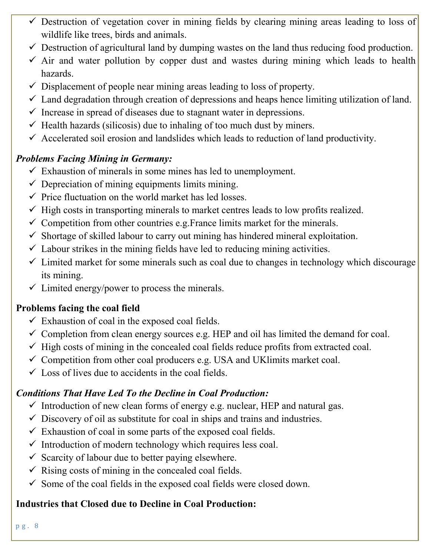- $\checkmark$  Destruction of vegetation cover in mining fields by clearing mining areas leading to loss of wildlife like trees, birds and animals.
- $\checkmark$  Destruction of agricultural land by dumping wastes on the land thus reducing food production.
- $\checkmark$  Air and water pollution by copper dust and wastes during mining which leads to health hazards.
- $\checkmark$  Displacement of people near mining areas leading to loss of property.
- $\checkmark$  Land degradation through creation of depressions and heaps hence limiting utilization of land.
- $\checkmark$  Increase in spread of diseases due to stagnant water in depressions.
- $\checkmark$  Health hazards (silicosis) due to inhaling of too much dust by miners.
- $\checkmark$  Accelerated soil erosion and landslides which leads to reduction of land productivity.

### *Problems Facing Mining in Germany:*

- $\checkmark$  Exhaustion of minerals in some mines has led to unemployment.
- $\checkmark$  Depreciation of mining equipments limits mining.
- $\checkmark$  Price fluctuation on the world market has led losses.
- $\checkmark$  High costs in transporting minerals to market centres leads to low profits realized.
- $\checkmark$  Competition from other countries e.g. France limits market for the minerals.
- $\checkmark$  Shortage of skilled labour to carry out mining has hindered mineral exploitation.
- $\checkmark$  Labour strikes in the mining fields have led to reducing mining activities.
- $\checkmark$  Limited market for some minerals such as coal due to changes in technology which discourage its mining.
- $\checkmark$  Limited energy/power to process the minerals.

### **Problems facing the coal field**

- $\checkmark$  Exhaustion of coal in the exposed coal fields.
- $\checkmark$  Completion from clean energy sources e.g. HEP and oil has limited the demand for coal.
- $\checkmark$  High costs of mining in the concealed coal fields reduce profits from extracted coal.
- $\checkmark$  Competition from other coal producers e.g. USA and UK limits market coal.
- $\checkmark$  Loss of lives due to accidents in the coal fields.

## *Conditions That Have Led To the Decline in Coal Production:*

- $\checkmark$  Introduction of new clean forms of energy e.g. nuclear, HEP and natural gas.
- $\checkmark$  Discovery of oil as substitute for coal in ships and trains and industries.
- $\checkmark$  Exhaustion of coal in some parts of the exposed coal fields.
- $\checkmark$  Introduction of modern technology which requires less coal.
- $\checkmark$  Scarcity of labour due to better paying elsewhere.
- $\checkmark$  Rising costs of mining in the concealed coal fields.
- $\checkmark$  Some of the coal fields in the exposed coal fields were closed down.

## **Industries that Closed due to Decline in Coal Production:**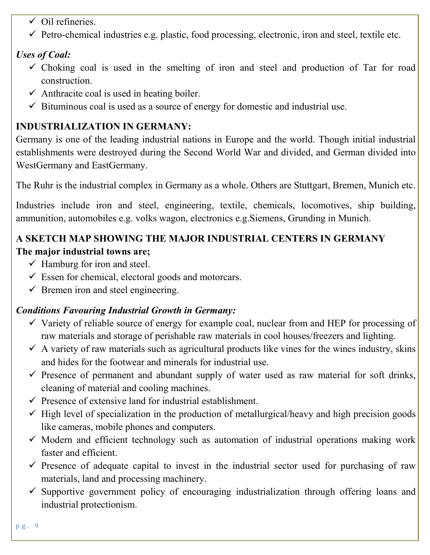- $\checkmark$  Oil refineries.
- $\checkmark$  Petro-chemical industries e.g. plastic, food processing, electronic, iron and steel, textile etc.

### *Uses of Coal:*

- $\checkmark$  Choking coal is used in the smelting of iron and steel and production of Tar for road construction.
- $\checkmark$  Anthracite coal is used in heating boiler.
- $\checkmark$  Bituminous coal is used as a source of energy for domestic and industrial use.

# **INDUSTRIALIZATION IN GERMANY:**

Germany is one of the leading industrial nations in Europe and the world. Though initial industrial establishments were destroyed during the Second World War and divided, and German divided into WestGermany and EastGermany.

The Ruhr is the industrial complex in Germany as a whole. Others are Stuttgart, Bremen, Munich etc.

Industries include iron and steel, engineering, textile, chemicals, locomotives, ship building, ammunition, automobiles e.g. volks wagon, electronics e.g.Siemens, Grunding in Munich.

# **A SKETCH MAP SHOWING THE MAJOR INDUSTRIAL CENTERS IN GERMANY The major industrial towns are;**

- $\checkmark$  Hamburg for iron and steel.
- $\checkmark$  Essen for chemical, electoral goods and motorcars.
- $\checkmark$  Bremen iron and steel engineering.

# *Conditions Favouring Industrial Growth in Germany:*

- $\checkmark$  Variety of reliable source of energy for example coal, nuclear from and HEP for processing of raw materials and storage of perishable raw materials in cool houses/freezers and lighting.
- $\checkmark$  A variety of raw materials such as agricultural products like vines for the wines industry, skins and hides for the footwear and minerals for industrial use.
- $\checkmark$  Presence of permanent and abundant supply of water used as raw material for soft drinks, cleaning of material and cooling machines.
- $\checkmark$  Presence of extensive land for industrial establishment.
- $\checkmark$  High level of specialization in the production of metallurgical/heavy and high precision goods like cameras, mobile phones and computers.
- $\checkmark$  Modern and efficient technology such as automation of industrial operations making work faster and efficient.
- $\checkmark$  Presence of adequate capital to invest in the industrial sector used for purchasing of raw materials, land and processing machinery.
- $\checkmark$  Supportive government policy of encouraging industrialization through offering loans and industrial protectionism.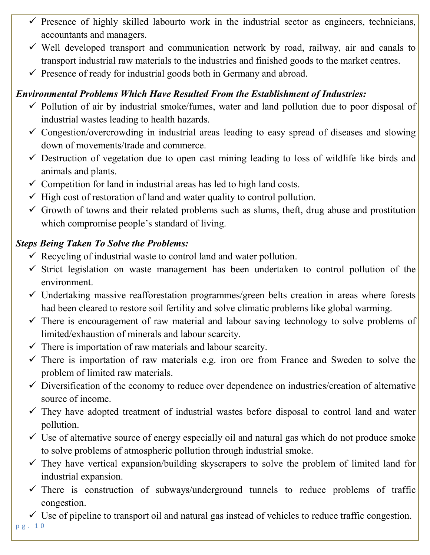- $\checkmark$  Presence of highly skilled labourto work in the industrial sector as engineers, technicians, accountants and managers.
- $\checkmark$  Well developed transport and communication network by road, railway, air and canals to transport industrial raw materials to the industries and finished goods to the market centres.
- $\checkmark$  Presence of ready for industrial goods both in Germany and abroad.

# *Environmental Problems Which Have Resulted From the Establishment of Industries:*

- $\checkmark$  Pollution of air by industrial smoke/fumes, water and land pollution due to poor disposal of industrial wastes leading to health hazards.
- $\checkmark$  Congestion/overcrowding in industrial areas leading to easy spread of diseases and slowing down of movements/trade and commerce.
- $\checkmark$  Destruction of vegetation due to open cast mining leading to loss of wildlife like birds and animals and plants.
- $\checkmark$  Competition for land in industrial areas has led to high land costs.
- $\checkmark$  High cost of restoration of land and water quality to control pollution.
- $\checkmark$  Growth of towns and their related problems such as slums, theft, drug abuse and prostitution which compromise people's standard of living.

### *Steps Being Taken To Solve the Problems:*

- $\checkmark$  Recycling of industrial waste to control land and water pollution.
- $\checkmark$  Strict legislation on waste management has been undertaken to control pollution of the environment.
- $\checkmark$  Undertaking massive reafforestation programmes/green belts creation in areas where forests had been cleared to restore soil fertility and solve climatic problems like global warming.
- $\checkmark$  There is encouragement of raw material and labour saving technology to solve problems of limited/exhaustion of minerals and labour scarcity.
- $\checkmark$  There is importation of raw materials and labour scarcity.
- $\checkmark$  There is importation of raw materials e.g. iron ore from France and Sweden to solve the problem of limited raw materials.
- $\checkmark$  Diversification of the economy to reduce over dependence on industries/creation of alternative source of income.
- $\checkmark$  They have adopted treatment of industrial wastes before disposal to control land and water pollution.
- $\checkmark$  Use of alternative source of energy especially oil and natural gas which do not produce smoke to solve problems of atmospheric pollution through industrial smoke.
- $\checkmark$  They have vertical expansion/building skyscrapers to solve the problem of limited land for industrial expansion.
- $\checkmark$  There is construction of subways/underground tunnels to reduce problems of traffic congestion.
- $\checkmark$  Use of pipeline to transport oil and natural gas instead of vehicles to reduce traffic congestion.

pg. 1 0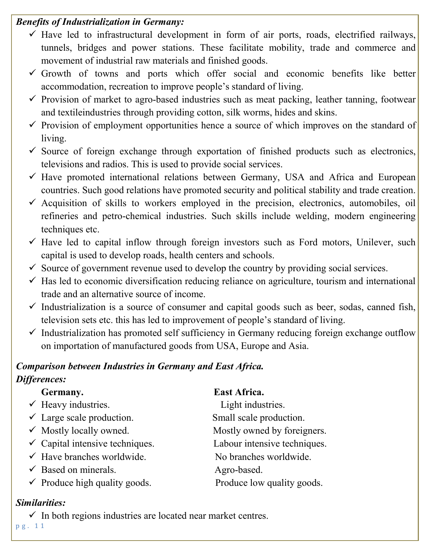#### *Benefits of Industrialization in Germany:*

- $\checkmark$  Have led to infrastructural development in form of air ports, roads, electrified railways, tunnels, bridges and power stations. These facilitate mobility, trade and commerce and movement of industrial raw materials and finished goods.
- $\checkmark$  Growth of towns and ports which offer social and economic benefits like better accommodation, recreation to improve people's standard of living.
- $\checkmark$  Provision of market to agro-based industries such as meat packing, leather tanning, footwear and textileindustries through providing cotton, silk worms, hides and skins.
- $\checkmark$  Provision of employment opportunities hence a source of which improves on the standard of living.
- $\checkmark$  Source of foreign exchange through exportation of finished products such as electronics, televisions and radios. This is used to provide social services.
- $\checkmark$  Have promoted international relations between Germany, USA and Africa and European countries. Such good relations have promoted security and political stability and trade creation.
- $\checkmark$  Acquisition of skills to workers employed in the precision, electronics, automobiles, oil refineries and petro-chemical industries. Such skills include welding, modern engineering techniques etc.
- $\checkmark$  Have led to capital inflow through foreign investors such as Ford motors, Unilever, such capital is used to develop roads, health centers and schools.
- $\checkmark$  Source of government revenue used to develop the country by providing social services.
- $\checkmark$  Has led to economic diversification reducing reliance on agriculture, tourism and international trade and an alternative source of income.
- $\checkmark$  Industrialization is a source of consumer and capital goods such as beer, sodas, canned fish, television sets etc. this has led to improvement of people's standard of living.
- $\checkmark$  Industrialization has promoted self sufficiency in Germany reducing foreign exchange outflow on importation of manufactured goods from USA, Europe and Asia.

#### *Comparison between Industries in Germany and East Africa. Differences:*

| Germany.                                   | <b>East Africa.</b>          |
|--------------------------------------------|------------------------------|
| $\checkmark$ Heavy industries.             | Light industries.            |
| $\checkmark$ Large scale production.       | Small scale production.      |
| $\checkmark$ Mostly locally owned.         | Mostly owned by foreigners.  |
| $\checkmark$ Capital intensive techniques. | Labour intensive techniques. |
| $\checkmark$ Have branches worldwide.      | No branches worldwide.       |
| $\checkmark$ Based on minerals.            | Agro-based.                  |
| $\checkmark$ Produce high quality goods.   | Produce low quality goods.   |
|                                            |                              |

#### *Similarities:*

 $\checkmark$  In both regions industries are located near market centres.

pg. 1 1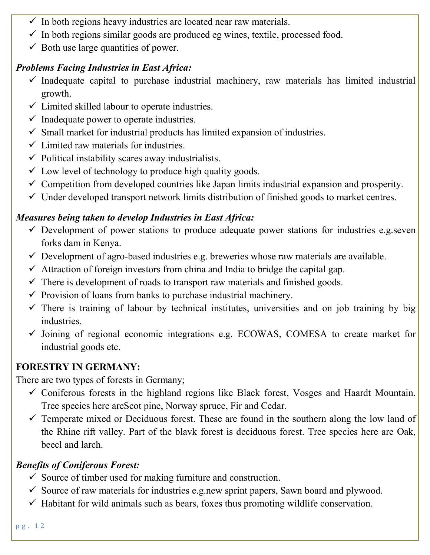- $\checkmark$  In both regions heavy industries are located near raw materials.
- $\checkmark$  In both regions similar goods are produced eg wines, textile, processed food.
- $\checkmark$  Both use large quantities of power.

### *Problems Facing Industries in East Africa:*

- $\checkmark$  Inadequate capital to purchase industrial machinery, raw materials has limited industrial growth.
- $\checkmark$  Limited skilled labour to operate industries.
- $\checkmark$  Inadequate power to operate industries.
- $\checkmark$  Small market for industrial products has limited expansion of industries.
- $\checkmark$  Limited raw materials for industries.
- $\checkmark$  Political instability scares away industrialists.
- $\checkmark$  Low level of technology to produce high quality goods.
- $\checkmark$  Competition from developed countries like Japan limits industrial expansion and prosperity.
- $\checkmark$  Under developed transport network limits distribution of finished goods to market centres.

### *Measures being taken to develop Industries in East Africa:*

- $\checkmark$  Development of power stations to produce adequate power stations for industries e.g.seven forks dam in Kenya.
- $\checkmark$  Development of agro-based industries e.g. breweries whose raw materials are available.
- $\checkmark$  Attraction of foreign investors from china and India to bridge the capital gap.
- $\checkmark$  There is development of roads to transport raw materials and finished goods.
- $\checkmark$  Provision of loans from banks to purchase industrial machinery.
- $\checkmark$  There is training of labour by technical institutes, universities and on job training by big industries.
- $\checkmark$  Joining of regional economic integrations e.g. ECOWAS, COMESA to create market for industrial goods etc.

## **FORESTRY IN GERMANY:**

There are two types of forests in Germany;

- Coniferous forests in the highland regions like Black forest, Vosges and Haardt Mountain. Tree species here areScot pine, Norway spruce, Fir and Cedar.
- $\checkmark$  Temperate mixed or Deciduous forest. These are found in the southern along the low land of the Rhine rift valley. Part of the blavk forest is deciduous forest. Tree species here are Oak, beecl and larch.

### *Benefits of Coniferous Forest:*

- $\checkmark$  Source of timber used for making furniture and construction.
- $\checkmark$  Source of raw materials for industries e.g.new sprint papers, Sawn board and plywood.
- $\checkmark$  Habitant for wild animals such as bears, foxes thus promoting wildlife conservation.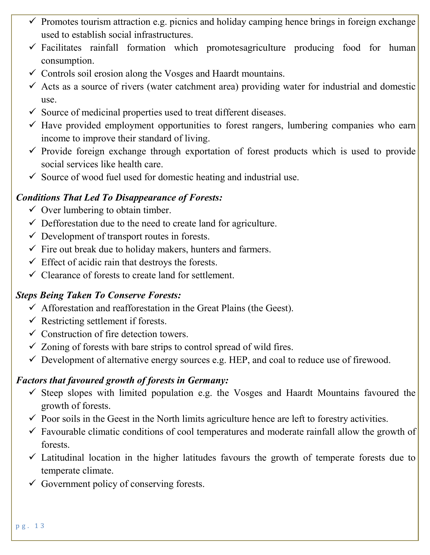- $\checkmark$  Promotes tourism attraction e.g. picnics and holiday camping hence brings in foreign exchange used to establish social infrastructures.
- $\checkmark$  Facilitates rainfall formation which promotesagriculture producing food for human consumption.
- $\checkmark$  Controls soil erosion along the Vosges and Haardt mountains.
- $\checkmark$  Acts as a source of rivers (water catchment area) providing water for industrial and domestic use.
- $\checkmark$  Source of medicinal properties used to treat different diseases.
- $\checkmark$  Have provided employment opportunities to forest rangers, lumbering companies who earn income to improve their standard of living.
- $\checkmark$  Provide foreign exchange through exportation of forest products which is used to provide social services like health care.
- $\checkmark$  Source of wood fuel used for domestic heating and industrial use.

#### *Conditions That Led To Disappearance of Forests:*

- $\checkmark$  Over lumbering to obtain timber.
- $\checkmark$  Defforestation due to the need to create land for agriculture.
- $\checkmark$  Development of transport routes in forests.
- $\checkmark$  Fire out break due to holiday makers, hunters and farmers.
- $\checkmark$  Effect of acidic rain that destroys the forests.
- $\checkmark$  Clearance of forests to create land for settlement.

### *Steps Being Taken To Conserve Forests:*

- $\checkmark$  Afforestation and reafforestation in the Great Plains (the Geest).
- $\checkmark$  Restricting settlement if forests.
- $\checkmark$  Construction of fire detection towers.
- $\checkmark$  Zoning of forests with bare strips to control spread of wild fires.
- $\checkmark$  Development of alternative energy sources e.g. HEP, and coal to reduce use of firewood.

### *Factors that favoured growth of forests in Germany:*

- $\checkmark$  Steep slopes with limited population e.g. the Vosges and Haardt Mountains favoured the growth of forests.
- $\checkmark$  Poor soils in the Geest in the North limits agriculture hence are left to forestry activities.
- $\checkmark$  Favourable climatic conditions of cool temperatures and moderate rainfall allow the growth of forests.
- $\checkmark$  Latitudinal location in the higher latitudes favours the growth of temperate forests due to temperate climate.
- $\checkmark$  Government policy of conserving forests.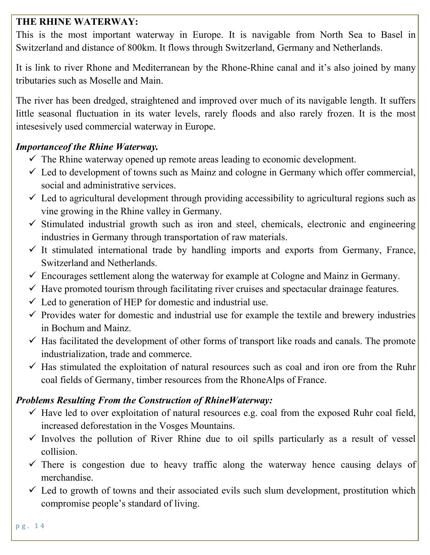#### **THE RHINE WATERWAY:**

This is the most important waterway in Europe. It is navigable from North Sea to Basel in Switzerland and distance of 800km. It flows through Switzerland, Germany and Netherlands.

It is link to river Rhone and Mediterranean by the Rhone-Rhine canal and it's also joined by many tributaries such as Moselle and Main.

The river has been dredged, straightened and improved over much of its navigable length. It suffers little seasonal fluctuation in its water levels, rarely floods and also rarely frozen. It is the most intesesively used commercial waterway in Europe.

#### *Importanceof the Rhine Waterway.*

- $\checkmark$  The Rhine waterway opened up remote areas leading to economic development.
- $\checkmark$  Led to development of towns such as Mainz and cologne in Germany which offer commercial, social and administrative services.
- $\checkmark$  Led to agricultural development through providing accessibility to agricultural regions such as vine growing in the Rhine valley in Germany.
- $\checkmark$  Stimulated industrial growth such as iron and steel, chemicals, electronic and engineering industries in Germany through transportation of raw materials.
- $\checkmark$  It stimulated international trade by handling imports and exports from Germany, France, Switzerland and Netherlands.
- $\checkmark$  Encourages settlement along the waterway for example at Cologne and Mainz in Germany.
- $\checkmark$  Have promoted tourism through facilitating river cruises and spectacular drainage features.
- $\checkmark$  Led to generation of HEP for domestic and industrial use.
- $\checkmark$  Provides water for domestic and industrial use for example the textile and brewery industries in Bochum and Mainz.
- $\checkmark$  Has facilitated the development of other forms of transport like roads and canals. The promote industrialization, trade and commerce.
- $\checkmark$  Has stimulated the exploitation of natural resources such as coal and iron ore from the Ruhr coal fields of Germany, timber resources from the RhoneAlps of France.

#### *Problems Resulting From the Construction of RhineWaterway:*

- $\checkmark$  Have led to over exploitation of natural resources e.g. coal from the exposed Ruhr coal field, increased deforestation in the Vosges Mountains.
- $\checkmark$  Involves the pollution of River Rhine due to oil spills particularly as a result of vessel collision.
- $\checkmark$  There is congestion due to heavy traffic along the waterway hence causing delays of merchandise.
- $\checkmark$  Led to growth of towns and their associated evils such slum development, prostitution which compromise people's standard of living.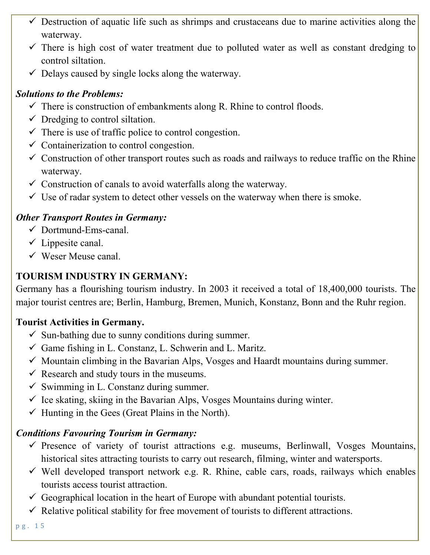- $\checkmark$  Destruction of aquatic life such as shrimps and crustaceans due to marine activities along the waterway.
- $\checkmark$  There is high cost of water treatment due to polluted water as well as constant dredging to control siltation.
- $\checkmark$  Delays caused by single locks along the waterway.

### *Solutions to the Problems:*

- $\checkmark$  There is construction of embankments along R. Rhine to control floods.
- $\checkmark$  Dredging to control siltation.
- $\checkmark$  There is use of traffic police to control congestion.
- $\checkmark$  Containerization to control congestion.
- $\checkmark$  Construction of other transport routes such as roads and railways to reduce traffic on the Rhine waterway.
- $\checkmark$  Construction of canals to avoid waterfalls along the waterway.
- $\checkmark$  Use of radar system to detect other vessels on the waterway when there is smoke.

### *Other Transport Routes in Germany:*

- Dortmund-Ems-canal.
- $\checkmark$  Lippesite canal.
- $\checkmark$  Weser Meuse canal.

# **TOURISM INDUSTRY IN GERMANY:**

Germany has a flourishing tourism industry. In 2003 it received a total of 18,400,000 tourists. The major tourist centres are; Berlin, Hamburg, Bremen, Munich, Konstanz, Bonn and the Ruhr region.

### **Tourist Activities in Germany.**

- $\checkmark$  Sun-bathing due to sunny conditions during summer.
- $\checkmark$  Game fishing in L. Constanz, L. Schwerin and L. Maritz.
- $\checkmark$  Mountain climbing in the Bavarian Alps, Vosges and Haardt mountains during summer.
- $\checkmark$  Research and study tours in the museums.
- $\checkmark$  Swimming in L. Constanz during summer.
- $\checkmark$  Ice skating, skiing in the Bavarian Alps, Vosges Mountains during winter.
- $\checkmark$  Hunting in the Gees (Great Plains in the North).

## *Conditions Favouring Tourism in Germany:*

- $\checkmark$  Presence of variety of tourist attractions e.g. museums, Berlinwall, Vosges Mountains, historical sites attracting tourists to carry out research, filming, winter and watersports.
- $\checkmark$  Well developed transport network e.g. R. Rhine, cable cars, roads, railways which enables tourists access tourist attraction.
- $\checkmark$  Geographical location in the heart of Europe with abundant potential tourists.
- $\checkmark$  Relative political stability for free movement of tourists to different attractions.